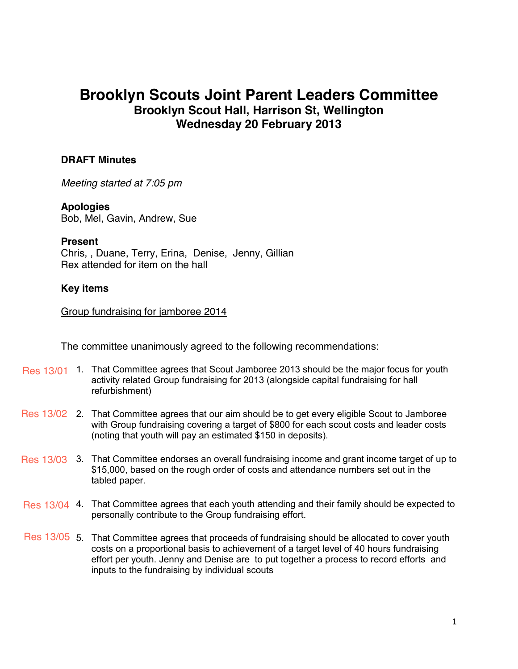# **Brooklyn Scouts Joint Parent Leaders Committee Brooklyn Scout Hall, Harrison St, Wellington Wednesday 20 February 2013**

# **DRAFT Minutes**

*Meeting started at 7:05 pm*

# **Apologies**

Bob, Mel, Gavin, Andrew, Sue

### **Present**

Chris, , Duane, Terry, Erina, Denise, Jenny, Gillian Rex attended for item on the hall

### **Key items**

Group fundraising for jamboree 2014

The committee unanimously agreed to the following recommendations:

- Res 13/01 1. That Committee agrees that Scout Jamboree 2013 should be the major focus for youth activity related Group fundraising for 2013 (alongside capital fundraising for hall refurbishment)
- Res 13/02 2. That Committee agrees that our aim should be to get every eligible Scout to Jamboree with Group fundraising covering a target of \$800 for each scout costs and leader costs (noting that youth will pay an estimated \$150 in deposits).
- Res 13/03 3. That Committee endorses an overall fundraising income and grant income target of up to \$15,000, based on the rough order of costs and attendance numbers set out in the tabled paper.
- Res 13/04 4. That Committee agrees that each youth attending and their family should be expected to personally contribute to the Group fundraising effort.
- Res 13/05 5. That Committee agrees that proceeds of fundraising should be allocated to cover youth costs on a proportional basis to achievement of a target level of 40 hours fundraising effort per youth. Jenny and Denise are to put together a process to record efforts and inputs to the fundraising by individual scouts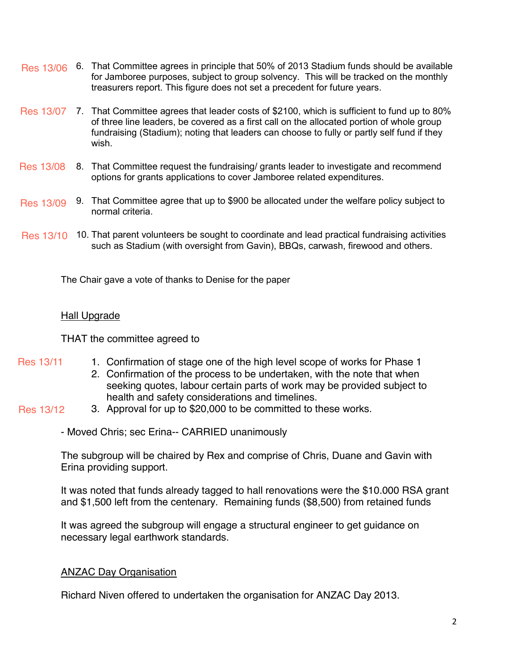- Res 13/06 6. That Committee agrees in principle that 50% of 2013 Stadium funds should be available for Jamboree purposes, subject to group solvency. This will be tracked on the monthly treasurers report. This figure does not set a precedent for future years.
- Res 13/07 7. That Committee agrees that leader costs of \$2100, which is sufficient to fund up to 80% of three line leaders, be covered as a first call on the allocated portion of whole group fundraising (Stadium); noting that leaders can choose to fully or partly self fund if they wish.
- 8. That Committee request the fundraising/ grants leader to investigate and recommend options for grants applications to cover Jamboree related expenditures. Res 13/08
- Res 13/09 9 That Committee agree that up to \$900 be allocated under the welfare policy subject to normal criteria.
- Res 13/10 10. That parent volunteers be sought to coordinate and lead practical fundraising activities such as Stadium (with oversight from Gavin), BBQs, carwash, firewood and others.

The Chair gave a vote of thanks to Denise for the paper

### Hall Upgrade

THAT the committee agreed to

- 1. Confirmation of stage one of the high level scope of works for Phase 1 Res 13/11
	- 2. Confirmation of the process to be undertaken, with the note that when seeking quotes, labour certain parts of work may be provided subject to health and safety considerations and timelines.
- 3. Approval for up to \$20,000 to be committed to these works. Res 13/12
	- Moved Chris; sec Erina-- CARRIED unanimously

The subgroup will be chaired by Rex and comprise of Chris, Duane and Gavin with Erina providing support.

It was noted that funds already tagged to hall renovations were the \$10.000 RSA grant and \$1,500 left from the centenary. Remaining funds (\$8,500) from retained funds

It was agreed the subgroup will engage a structural engineer to get guidance on necessary legal earthwork standards.

# ANZAC Day Organisation

Richard Niven offered to undertaken the organisation for ANZAC Day 2013.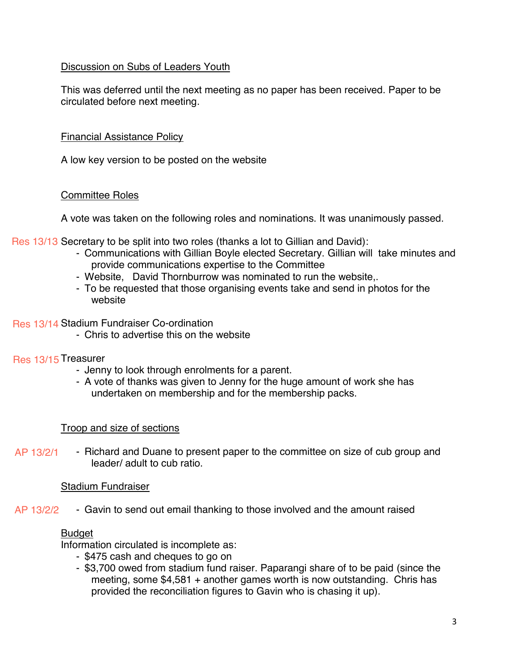# Discussion on Subs of Leaders Youth

This was deferred until the next meeting as no paper has been received. Paper to be circulated before next meeting.

# Financial Assistance Policy

A low key version to be posted on the website

# Committee Roles

A vote was taken on the following roles and nominations. It was unanimously passed.

Res 13/13 Secretary to be split into two roles (thanks a lot to Gillian and David):

- Communications with Gillian Boyle elected Secretary. Gillian will take minutes and provide communications expertise to the Committee
- Website, David Thornburrow was nominated to run the website,.
- To be requested that those organising events take and send in photos for the website

# Res 13/14 Stadium Fundraiser Co-ordination

- Chris to advertise this on the website

# Res 13/15 Treasurer

- Jenny to look through enrolments for a parent.
- A vote of thanks was given to Jenny for the huge amount of work she has undertaken on membership and for the membership packs.

# Troop and size of sections

- Richard and Duane to present paper to the committee on size of cub group and leader/ adult to cub ratio. AP 13/2/1<br>Sta<br>AP 13/2/2

# Stadium Fundraiser

- Gavin to send out email thanking to those involved and the amount raised

# **Budget**

Information circulated is incomplete as:

- \$475 cash and cheques to go on
- \$3,700 owed from stadium fund raiser. Paparangi share of to be paid (since the meeting, some \$4,581 + another games worth is now outstanding. Chris has provided the reconciliation figures to Gavin who is chasing it up).